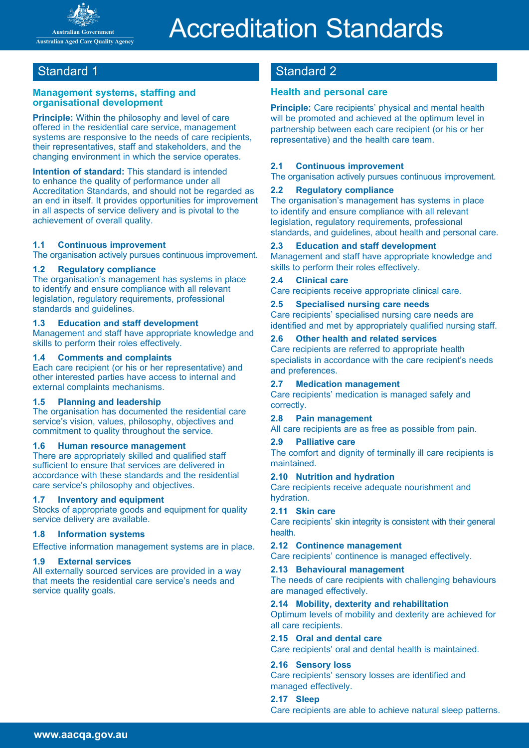

# Accreditation Standards

#### **Management systems, staffing and organisational development**

**Principle:** Within the philosophy and level of care offered in the residential care service, management systems are responsive to the needs of care recipients, their representatives, staff and stakeholders, and the changing environment in which the service operates.

**Intention of standard:** This standard is intended to enhance the quality of performance under all Accreditation Standards, and should not be regarded as an end in itself. It provides opportunities for improvement in all aspects of service delivery and is pivotal to the achievement of overall quality.

#### **1.1 Continuous improvement**

The organisation actively pursues continuous improvement.

#### **1.2 Regulatory compliance**

The organisation's management has systems in place to identify and ensure compliance with all relevant legislation, regulatory requirements, professional standards and guidelines.

#### **1.3 Education and staff development**

Management and staff have appropriate knowledge and skills to perform their roles effectively.

#### **1.4 Comments and complaints**

Each care recipient (or his or her representative) and other interested parties have access to internal and external complaints mechanisms.

#### **1.5 Planning and leadership**

The organisation has documented the residential care service's vision, values, philosophy, objectives and commitment to quality throughout the service.

#### **1.6 Human resource management**

There are appropriately skilled and qualified staff sufficient to ensure that services are delivered in accordance with these standards and the residential care service's philosophy and objectives.

#### **1.7 Inventory and equipment**

Stocks of appropriate goods and equipment for quality service delivery are available.

#### **1.8 Information systems**

Effective information management systems are in place.

#### **1.9 External services**

All externally sourced services are provided in a way that meets the residential care service's needs and service quality goals.

## Standard 1 Standard 2

#### **Health and personal care**

**Principle:** Care recipients' physical and mental health will be promoted and achieved at the optimum level in partnership between each care recipient (or his or her representative) and the health care team.

#### **2.1 Continuous improvement**

The organisation actively pursues continuous improvement.

#### **2.2 Regulatory compliance**

The organisation's management has systems in place to identify and ensure compliance with all relevant legislation, regulatory requirements, professional standards, and guidelines, about health and personal care.

#### **2.3 Education and staff development**

Management and staff have appropriate knowledge and skills to perform their roles effectively.

#### **2.4 Clinical care**

Care recipients receive appropriate clinical care.

#### **2.5 Specialised nursing care needs**

Care recipients' specialised nursing care needs are identified and met by appropriately qualified nursing staff.

#### **2.6 Other health and related services**

Care recipients are referred to appropriate health specialists in accordance with the care recipient's needs and preferences.

#### **2.7 Medication management**

Care recipients' medication is managed safely and correctly.

#### **2.8 Pain management**

All care recipients are as free as possible from pain.

#### **2.9 Palliative care**

The comfort and dignity of terminally ill care recipients is maintained.

#### **2.10 Nutrition and hydration**

Care recipients receive adequate nourishment and hydration.

#### **2.11 Skin care**

Care recipients' skin integrity is consistent with their general health.

#### **2.12 Continence management**

Care recipients' continence is managed effectively.

#### **2.13 Behavioural management**

The needs of care recipients with challenging behaviours are managed effectively.

#### **2.14 Mobility, dexterity and rehabilitation**

Optimum levels of mobility and dexterity are achieved for all care recipients.

#### **2.15 Oral and dental care**

Care recipients' oral and dental health is maintained.

#### **2.16 Sensory loss**

Care recipients' sensory losses are identified and managed effectively.

#### **2.17 Sleep** Care recipients are able to achieve natural sleep patterns.